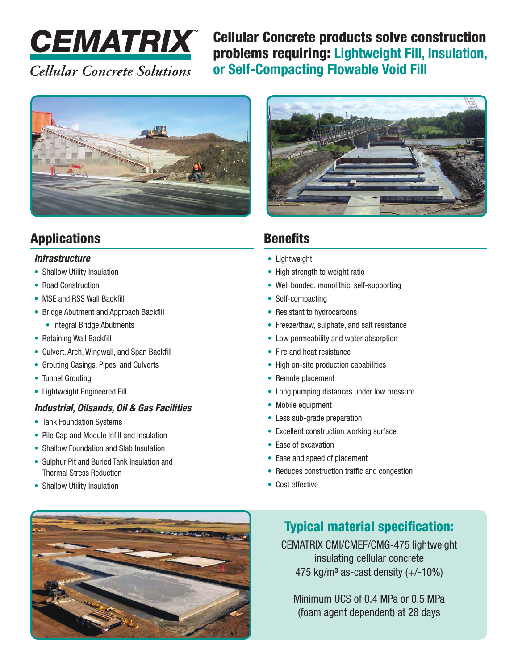

Cellular Concrete products solve construction problems requiring: **Lightweight Fill, Insulation, or Self-Compacting Flowable Void Fill**



## Applications

#### *Infrastructure*

- Shallow Utility Insulation
- Road Construction
- MSE and RSS Wall Backfill
- Bridge Abutment and Approach Backfill
	- Integral Bridge Abutments
- Retaining Wall Backfill
- Culvert, Arch, Wingwall, and Span Backfill
- Grouting Casings, Pipes, and Culverts
- Tunnel Grouting
- Lightweight Engineered Fill

#### *Industrial, Oilsands, Oil & Gas Facilities*

- Tank Foundation Systems
- Pile Cap and Module Infill and Insulation
- Shallow Foundation and Slab Insulation
- Sulphur Pit and Buried Tank Insulation and Thermal Stress Reduction
- Shallow Utility Insulation

# **Benefits**

- Lightweight
- High strength to weight ratio
- Well bonded, monolithic, self-supporting
- Self-compacting
- Resistant to hydrocarbons
- Freeze/thaw, sulphate, and salt resistance
- Low permeability and water absorption
- Fire and heat resistance
- High on-site production capabilities
- Remote placement
- Long pumping distances under low pressure
- Mobile equipment
- Less sub-grade preparation
- Excellent construction working surface
- Ease of excavation
- Ease and speed of placement
- Reduces construction traffic and congestion
- Cost effective



#### Typical material specification:

CEMATRIX CMI/CMEF/CMG-475 lightweight insulating cellular concrete 475 kg/m<sup>3</sup> as-cast density  $(+/-10\%)$ 

Minimum UCS of 0.4 MPa or 0.5 MPa (foam agent dependent) at 28 days

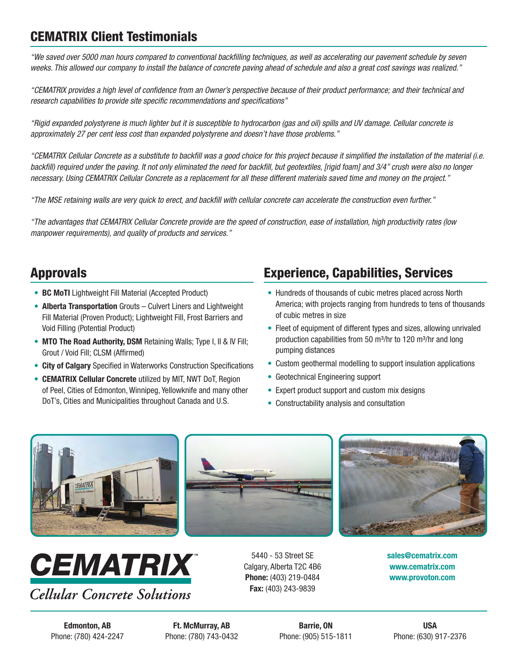#### CEMATRIX Client Testimonials

*"We saved over 5000 man hours compared to conventional backfilling techniques, as well as accelerating our pavement schedule by seven weeks. This allowed our company to install the balance of concrete paving ahead of schedule and also a great cost savings was realized."*

*"CEMATRIX provides a high level of confidence from an Owner's perspective because of their product performance; and their technical and research capabilities to provide site specific recommendations and specifications"*

*"Rigid expanded polystyrene is much lighter but it is susceptible to hydrocarbon (gas and oil) spills and UV damage. Cellular concrete is approximately 27 per cent less cost than expanded polystyrene and doesn't have those problems."*

*"CEMATRIX Cellular Concrete as a substitute to backfill was a good choice for this project because it simplified the installation of the material (i.e.*  backfill) required under the paving. It not only eliminated the need for backfill, but geotextiles, [rigid foam] and 3/4" crush were also no longer *necessary. Using CEMATRIX Cellular Concrete as a replacement for all these different materials saved time and money on the project."*

*"The MSE retaining walls are very quick to erect, and backfill with cellular concrete can accelerate the construction even further."*

*"The advantages that CEMATRIX Cellular Concrete provide are the speed of construction, ease of installation, high productivity rates (low manpower requirements), and quality of products and services."*

#### Approvals

- **BC MoTI** Lightweight Fill Material (Accepted Product)
- **Alberta Transportation** Grouts Culvert Liners and Lightweight Fill Material (Proven Product); Lightweight Fill, Frost Barriers and Void Filling (Potential Product)
- **MTO The Road Authority, DSM** Retaining Walls; Type I, II & IV Fill; Grout / Void Fill; CLSM (Affirmed)
- **City of Calgary** Specified in Waterworks Construction Specifications
- **CEMATRIX Cellular Concrete** utilized by MIT, NWT DoT, Region of Peel, Cities of Edmonton, Winnipeg, Yellowknife and many other DoT's, Cities and Municipalities throughout Canada and U.S.

#### Experience, Capabilities, Services

- Hundreds of thousands of cubic metres placed across North America; with projects ranging from hundreds to tens of thousands of cubic metres in size
- Fleet of equipment of different types and sizes, allowing unrivaled production capabilities from 50 m<sup>3</sup>/hr to 120 m<sup>3</sup>/hr and long pumping distances
- Custom geothermal modelling to support insulation applications
- Geotechnical Engineering support
- Expert product support and custom mix designs
- Constructability analysis and consultation





**Edmonton, AB Ft. McMurray, AB Barrie, ON USA** Phone: (780) 424-2247 Phone: (780) 743-0432 Phone: (905) 515-1811 Phone: (630) 917-2376

5440 - 53 Street SE Calgary, Alberta T2C 4B6 **Phone:** (403) 219-0484 **Fax:** (403) 243-9839



**sales@cematrix.com www.cematrix.com www.provoton.com**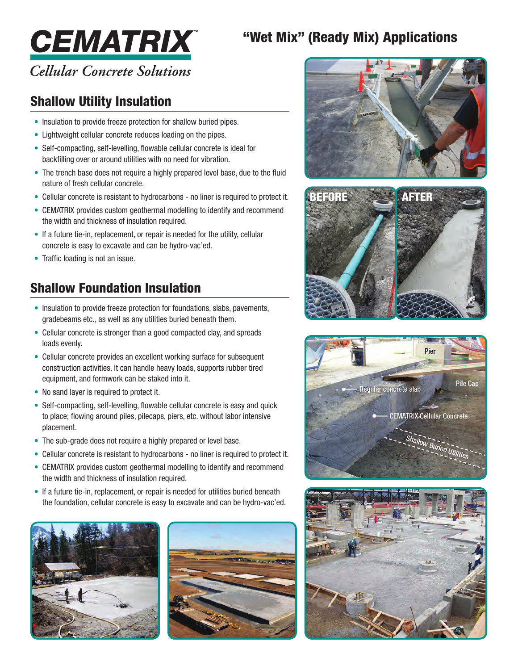# "Wet Mix" (Ready Mix) Applications



# **Cellular Concrete Solutions**

#### Shallow Utility Insulation

- Insulation to provide freeze protection for shallow buried pipes.
- Lightweight cellular concrete reduces loading on the pipes.
- Self-compacting, self-levelling, flowable cellular concrete is ideal for backfilling over or around utilities with no need for vibration.
- The trench base does not require a highly prepared level base, due to the fluid nature of fresh cellular concrete.
- Cellular concrete is resistant to hydrocarbons no liner is required to protect it.
- CEMATRIX provides custom geothermal modelling to identify and recommend the width and thickness of insulation required.
- If a future tie-in, replacement, or repair is needed for the utility, cellular concrete is easy to excavate and can be hydro-vac'ed.
- Traffic loading is not an issue.

## Shallow Foundation Insulation

- Insulation to provide freeze protection for foundations, slabs, pavements, gradebeams etc., as well as any utilities buried beneath them.
- Cellular concrete is stronger than a good compacted clay, and spreads loads evenly.
- Cellular concrete provides an excellent working surface for subsequent construction activities. It can handle heavy loads, supports rubber tired equipment, and formwork can be staked into it.
- No sand layer is required to protect it.
- Self-compacting, self-levelling, flowable cellular concrete is easy and quick to place; flowing around piles, pilecaps, piers, etc. without labor intensive placement.
- The sub-grade does not require a highly prepared or level base.
- Cellular concrete is resistant to hydrocarbons no liner is required to protect it.
- CEMATRIX provides custom geothermal modelling to identify and recommend the width and thickness of insulation required.
- If a future tie-in, replacement, or repair is needed for utilities buried beneath the foundation, cellular concrete is easy to excavate and can be hydro-vac'ed.